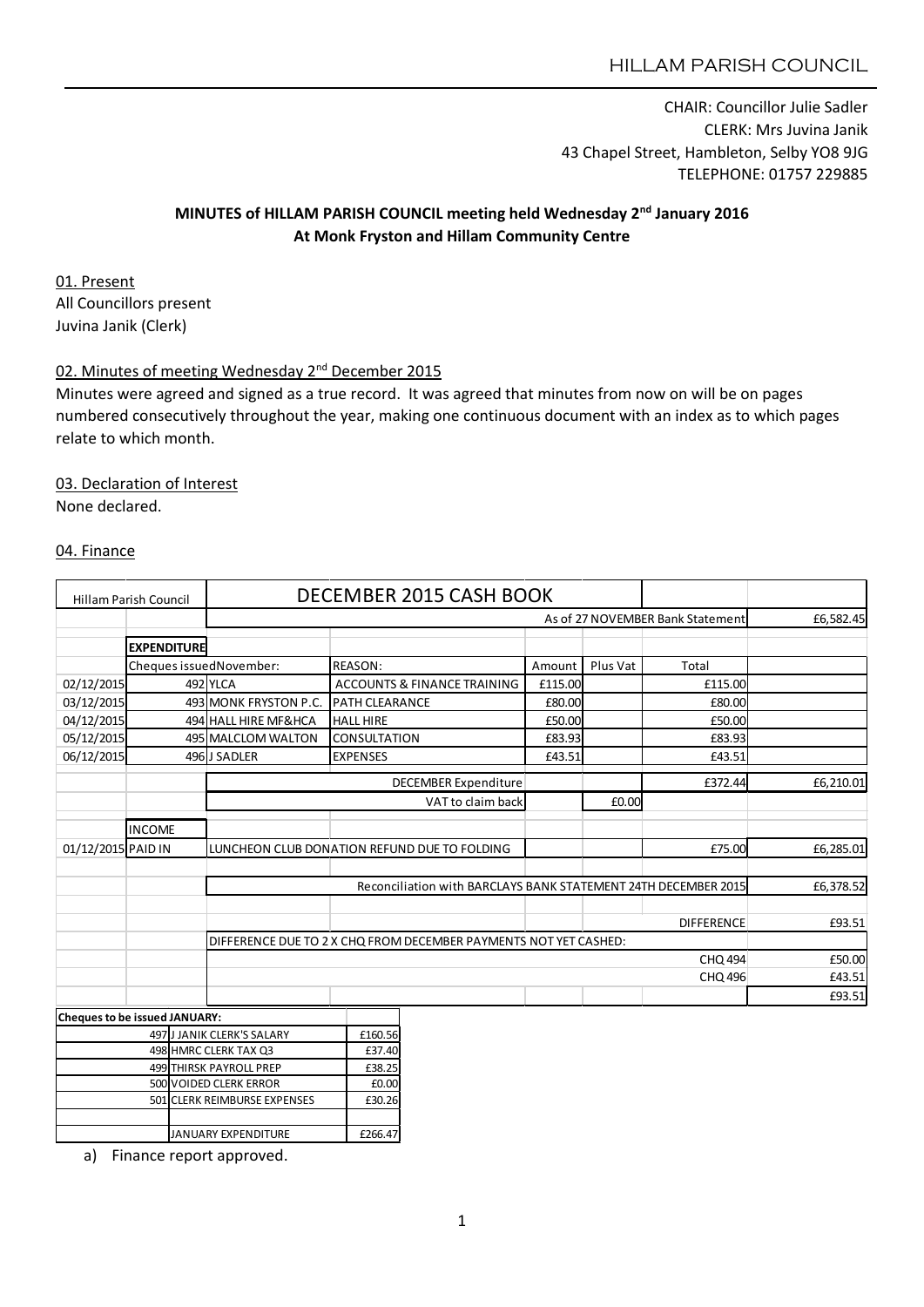CHAIR: Councillor Julie Sadler CLERK: Mrs Juvina Janik 43 Chapel Street, Hambleton, Selby YO8 9JG TELEPHONE: 01757 229885

# MINUTES of HILLAM PARISH COUNCIL meeting held Wednesday 2<sup>nd</sup> January 2016 At Monk Fryston and Hillam Community Centre

01. Present All Councillors present Juvina Janik (Clerk)

# 02. Minutes of meeting Wednesday 2<sup>nd</sup> December 2015

Minutes were agreed and signed as a true record. It was agreed that minutes from now on will be on pages numbered consecutively throughout the year, making one continuous document with an index as to which pages relate to which month.

#### 03. Declaration of Interest

None declared.

#### 04. Finance

| As of 27 NOVEMBER Bank Statement<br><b>EXPENDITURE</b><br>Plus Vat<br>Cheques issuedNovember:<br>REASON:<br>Amount<br>Total<br>02/12/2015<br>492 YLCA<br>ACCOUNTS & FINANCE TRAINING<br>£115.00<br>£115.00<br>03/12/2015<br>493 MONK FRYSTON P.C.<br><b>PATH CLEARANCE</b><br>£80.00<br>£80.00<br>04/12/2015<br>494 HALL HIRE MF&HCA<br>£50.00<br><b>HALL HIRE</b><br>£50.00<br>05/12/2015<br>495 MALCLOM WALTON<br><b>CONSULTATION</b><br>£83.93<br>£83.93<br>06/12/2015<br>£43.51<br>£43.51<br>496JJ SADLER<br><b>EXPENSES</b><br><b>DECEMBER Expenditure</b><br>£372.44<br>£0.00 | <b>Hillam Parish Council</b> |                                                                                    | DECEMBER 2015 CASH BOOK |                |                   |  |        |  |           |
|-------------------------------------------------------------------------------------------------------------------------------------------------------------------------------------------------------------------------------------------------------------------------------------------------------------------------------------------------------------------------------------------------------------------------------------------------------------------------------------------------------------------------------------------------------------------------------------|------------------------------|------------------------------------------------------------------------------------|-------------------------|----------------|-------------------|--|--------|--|-----------|
|                                                                                                                                                                                                                                                                                                                                                                                                                                                                                                                                                                                     |                              |                                                                                    |                         |                |                   |  |        |  | £6,582.45 |
|                                                                                                                                                                                                                                                                                                                                                                                                                                                                                                                                                                                     |                              |                                                                                    |                         |                |                   |  |        |  |           |
|                                                                                                                                                                                                                                                                                                                                                                                                                                                                                                                                                                                     |                              |                                                                                    |                         |                |                   |  |        |  |           |
|                                                                                                                                                                                                                                                                                                                                                                                                                                                                                                                                                                                     |                              |                                                                                    |                         |                |                   |  |        |  |           |
|                                                                                                                                                                                                                                                                                                                                                                                                                                                                                                                                                                                     |                              |                                                                                    |                         |                |                   |  |        |  |           |
|                                                                                                                                                                                                                                                                                                                                                                                                                                                                                                                                                                                     |                              |                                                                                    |                         |                |                   |  |        |  |           |
|                                                                                                                                                                                                                                                                                                                                                                                                                                                                                                                                                                                     |                              |                                                                                    |                         |                |                   |  |        |  |           |
|                                                                                                                                                                                                                                                                                                                                                                                                                                                                                                                                                                                     |                              |                                                                                    |                         |                |                   |  |        |  |           |
|                                                                                                                                                                                                                                                                                                                                                                                                                                                                                                                                                                                     |                              |                                                                                    |                         |                |                   |  |        |  | £6,210.01 |
|                                                                                                                                                                                                                                                                                                                                                                                                                                                                                                                                                                                     |                              |                                                                                    |                         |                | VAT to claim back |  |        |  |           |
|                                                                                                                                                                                                                                                                                                                                                                                                                                                                                                                                                                                     |                              |                                                                                    |                         |                |                   |  |        |  |           |
| <b>INCOME</b>                                                                                                                                                                                                                                                                                                                                                                                                                                                                                                                                                                       |                              |                                                                                    |                         |                |                   |  |        |  |           |
| 01/12/2015 PAID IN<br>£75.00<br>LUNCHEON CLUB DONATION REFUND DUE TO FOLDING                                                                                                                                                                                                                                                                                                                                                                                                                                                                                                        |                              |                                                                                    |                         |                |                   |  |        |  | £6,285.01 |
|                                                                                                                                                                                                                                                                                                                                                                                                                                                                                                                                                                                     |                              |                                                                                    |                         |                |                   |  |        |  |           |
| Reconciliation with BARCLAYS BANK STATEMENT 24TH DECEMBER 2015                                                                                                                                                                                                                                                                                                                                                                                                                                                                                                                      |                              |                                                                                    |                         |                |                   |  |        |  | £6,378.52 |
|                                                                                                                                                                                                                                                                                                                                                                                                                                                                                                                                                                                     |                              |                                                                                    |                         |                |                   |  |        |  |           |
| <b>DIFFERENCE</b>                                                                                                                                                                                                                                                                                                                                                                                                                                                                                                                                                                   |                              |                                                                                    |                         |                |                   |  | £93.51 |  |           |
|                                                                                                                                                                                                                                                                                                                                                                                                                                                                                                                                                                                     |                              | DIFFERENCE DUE TO 2 X CHQ FROM DECEMBER PAYMENTS NOT YET CASHED:<br><b>CHQ 494</b> |                         |                |                   |  |        |  |           |
|                                                                                                                                                                                                                                                                                                                                                                                                                                                                                                                                                                                     |                              |                                                                                    |                         |                |                   |  |        |  | £50.00    |
|                                                                                                                                                                                                                                                                                                                                                                                                                                                                                                                                                                                     |                              |                                                                                    |                         | <b>CHQ 496</b> |                   |  |        |  | £43.51    |
|                                                                                                                                                                                                                                                                                                                                                                                                                                                                                                                                                                                     |                              |                                                                                    |                         |                |                   |  |        |  | £93.51    |
| Cheques to be issued JANUARY:                                                                                                                                                                                                                                                                                                                                                                                                                                                                                                                                                       |                              |                                                                                    |                         |                |                   |  |        |  |           |
| 497 J JANIK CLERK'S SALARY<br>£160.56                                                                                                                                                                                                                                                                                                                                                                                                                                                                                                                                               |                              |                                                                                    |                         |                |                   |  |        |  |           |
| 498 HMRC CLERK TAX Q3<br>£37.40                                                                                                                                                                                                                                                                                                                                                                                                                                                                                                                                                     |                              |                                                                                    |                         |                |                   |  |        |  |           |
| 499 THIRSK PAYROLL PREP<br>£38.25<br>500 VOIDED CLERK ERROR<br>£0.00                                                                                                                                                                                                                                                                                                                                                                                                                                                                                                                |                              |                                                                                    |                         |                |                   |  |        |  |           |

**JANUARY EXPENDITURE** £266.47

501 CLERK REIMBURSE EXPENSES £30.26

a) Finance report approved.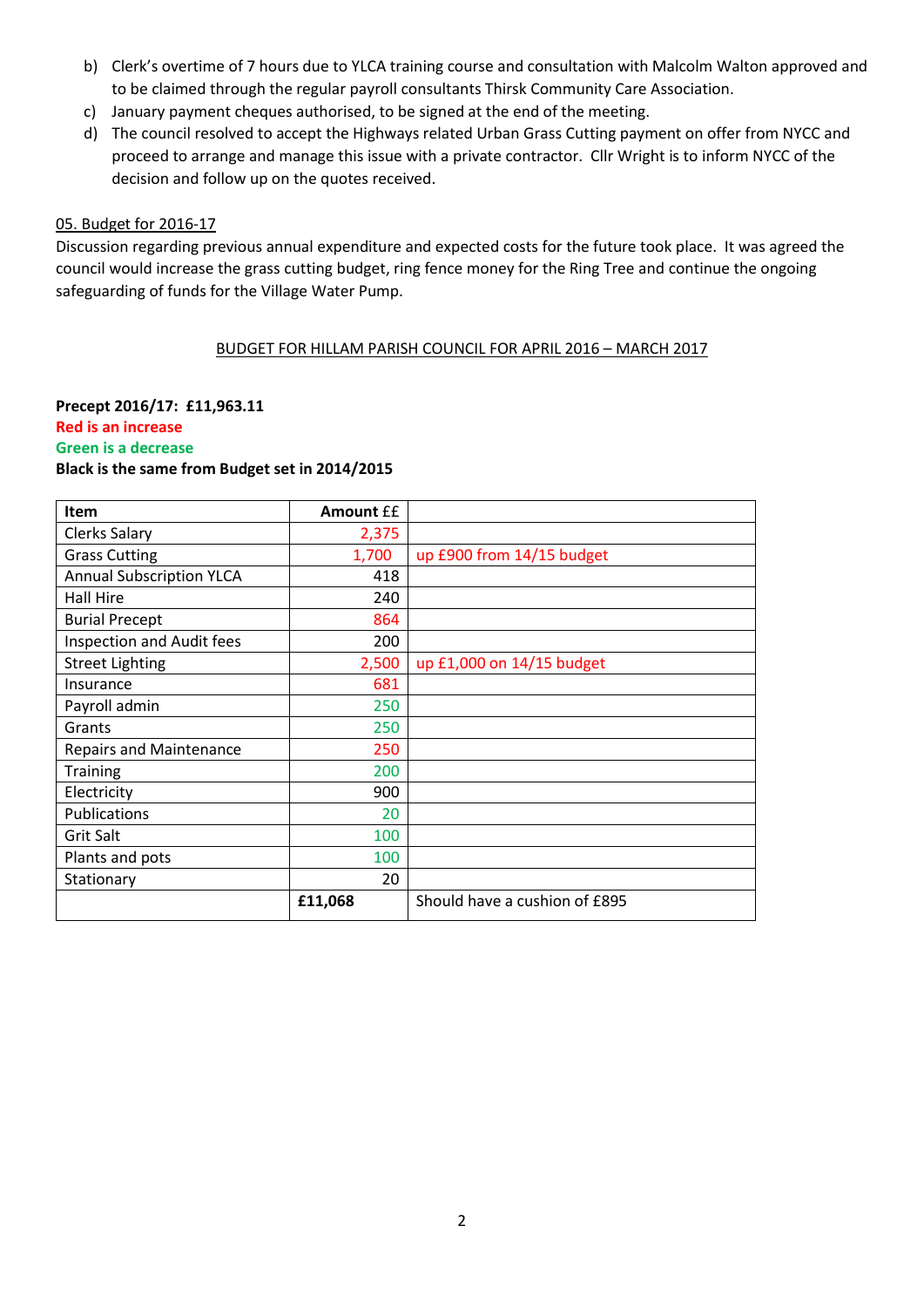- b) Clerk's overtime of 7 hours due to YLCA training course and consultation with Malcolm Walton approved and to be claimed through the regular payroll consultants Thirsk Community Care Association.
- c) January payment cheques authorised, to be signed at the end of the meeting.
- d) The council resolved to accept the Highways related Urban Grass Cutting payment on offer from NYCC and proceed to arrange and manage this issue with a private contractor. Cllr Wright is to inform NYCC of the decision and follow up on the quotes received.

#### 05. Budget for 2016-17

Discussion regarding previous annual expenditure and expected costs for the future took place. It was agreed the council would increase the grass cutting budget, ring fence money for the Ring Tree and continue the ongoing safeguarding of funds for the Village Water Pump.

#### BUDGET FOR HILLAM PARISH COUNCIL FOR APRIL 2016 – MARCH 2017

## Precept 2016/17: £11,963.11 Red is an increase Green is a decrease

#### Black is the same from Budget set in 2014/2015

| <b>Item</b>                     | <b>Amount EE</b> |                               |
|---------------------------------|------------------|-------------------------------|
| Clerks Salary                   | 2,375            |                               |
| <b>Grass Cutting</b>            | 1,700            | up £900 from 14/15 budget     |
| <b>Annual Subscription YLCA</b> | 418              |                               |
| Hall Hire                       | 240              |                               |
| <b>Burial Precept</b>           | 864              |                               |
| Inspection and Audit fees       | 200              |                               |
| <b>Street Lighting</b>          | 2,500            | up £1,000 on 14/15 budget     |
| Insurance                       | 681              |                               |
| Payroll admin                   | 250              |                               |
| Grants                          | 250              |                               |
| <b>Repairs and Maintenance</b>  | 250              |                               |
| Training                        | 200              |                               |
| Electricity                     | 900              |                               |
| Publications                    | 20               |                               |
| <b>Grit Salt</b>                | 100              |                               |
| Plants and pots                 | 100              |                               |
| Stationary                      | 20               |                               |
|                                 | £11,068          | Should have a cushion of £895 |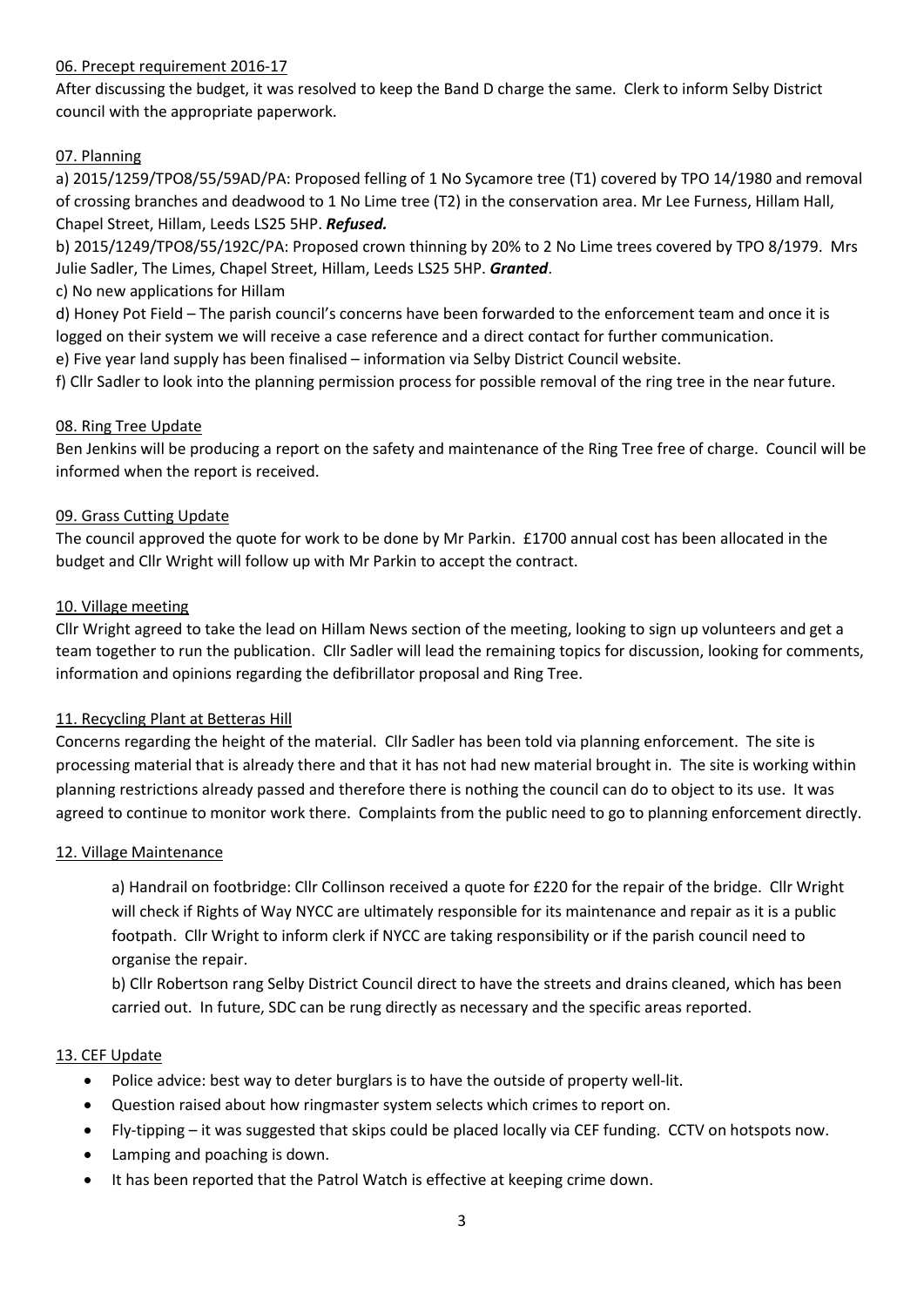### 06. Precept requirement 2016-17

After discussing the budget, it was resolved to keep the Band D charge the same. Clerk to inform Selby District council with the appropriate paperwork.

## 07. Planning

a) 2015/1259/TPO8/55/59AD/PA: Proposed felling of 1 No Sycamore tree (T1) covered by TPO 14/1980 and removal of crossing branches and deadwood to 1 No Lime tree (T2) in the conservation area. Mr Lee Furness, Hillam Hall, Chapel Street, Hillam, Leeds LS25 5HP. *Refused.*

b) 2015/1249/TPO8/55/192C/PA: Proposed crown thinning by 20% to 2 No Lime trees covered by TPO 8/1979. Mrs Julie Sadler, The Limes, Chapel Street, Hillam, Leeds LS25 5HP. *Granted*.

c) No new applications for Hillam

d) Honey Pot Field – The parish council's concerns have been forwarded to the enforcement team and once it is logged on their system we will receive a case reference and a direct contact for further communication.

e) Five year land supply has been finalised – information via Selby District Council website.

f) Cllr Sadler to look into the planning permission process for possible removal of the ring tree in the near future.

### 08. Ring Tree Update

Ben Jenkins will be producing a report on the safety and maintenance of the Ring Tree free of charge. Council will be informed when the report is received.

### 09. Grass Cutting Update

The council approved the quote for work to be done by Mr Parkin. £1700 annual cost has been allocated in the budget and Cllr Wright will follow up with Mr Parkin to accept the contract.

#### 10. Village meeting

Cllr Wright agreed to take the lead on Hillam News section of the meeting, looking to sign up volunteers and get a team together to run the publication. Cllr Sadler will lead the remaining topics for discussion, looking for comments, information and opinions regarding the defibrillator proposal and Ring Tree.

### 11. Recycling Plant at Betteras Hill

Concerns regarding the height of the material. Cllr Sadler has been told via planning enforcement. The site is processing material that is already there and that it has not had new material brought in. The site is working within planning restrictions already passed and therefore there is nothing the council can do to object to its use. It was agreed to continue to monitor work there. Complaints from the public need to go to planning enforcement directly.

#### 12. Village Maintenance

a) Handrail on footbridge: Cllr Collinson received a quote for £220 for the repair of the bridge. Cllr Wright will check if Rights of Way NYCC are ultimately responsible for its maintenance and repair as it is a public footpath. Cllr Wright to inform clerk if NYCC are taking responsibility or if the parish council need to organise the repair.

b) Cllr Robertson rang Selby District Council direct to have the streets and drains cleaned, which has been carried out. In future, SDC can be rung directly as necessary and the specific areas reported.

### 13. CEF Update

- Police advice: best way to deter burglars is to have the outside of property well-lit.
- Question raised about how ringmaster system selects which crimes to report on.
- Fly-tipping it was suggested that skips could be placed locally via CEF funding. CCTV on hotspots now.
- Lamping and poaching is down.
- It has been reported that the Patrol Watch is effective at keeping crime down.